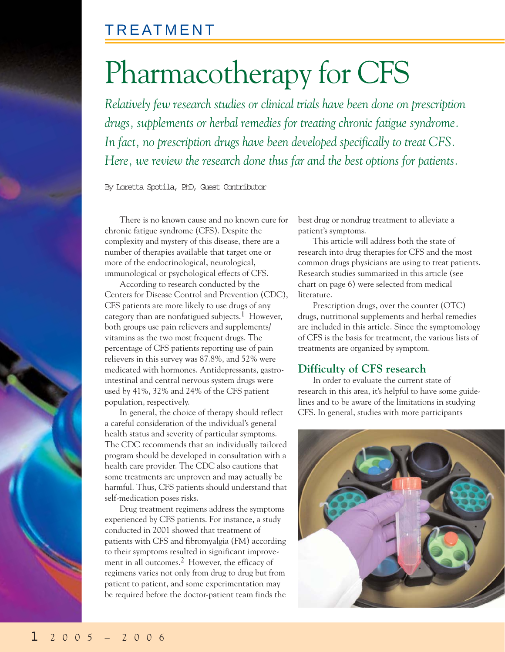# Pharmacotherapy for CFS

*Relatively few research studies or clinical trials have been done on prescription drugs, supplements or herbal remedies for treating chronic fatigue syndrome. In fact, no prescription drugs have been developed specifically to treat CFS. Here, we review the research done thus far and the best options for patients.*

By Loretta Spotila, PhD, Guest Contributor

There is no known cause and no known cure for chronic fatigue syndrome (CFS). Despite the complexity and mystery of this disease, there are a number of therapies available that target one or more of the endocrinological, neurological, immunological or psychological effects of CFS.

According to research conducted by the Centers for Disease Control and Prevention (CDC), CFS patients are more likely to use drugs of any category than are nonfatigued subjects.<sup>1</sup> However, both groups use pain relievers and supplements/ vitamins as the two most frequent drugs. The percentage of CFS patients reporting use of pain relievers in this survey was 87.8%, and 52% were medicated with hormones. Antidepressants, gastrointestinal and central nervous system drugs were used by 41%, 32% and 24% of the CFS patient population, respectively.

In general, the choice of therapy should reflect a careful consideration of the individual's general health status and severity of particular symptoms. The CDC recommends that an individually tailored program should be developed in consultation with a health care provider. The CDC also cautions that some treatments are unproven and may actually be harmful. Thus, CFS patients should understand that self-medication poses risks.

Drug treatment regimens address the symptoms experienced by CFS patients. For instance, a study conducted in 2001 showed that treatment of patients with CFS and fibromyalgia (FM) according to their symptoms resulted in significant improvement in all outcomes.2 However, the efficacy of regimens varies not only from drug to drug but from patient to patient, and some experimentation may be required before the doctor-patient team finds the best drug or nondrug treatment to alleviate a patient's symptoms.

This article will address both the state of research into drug therapies for CFS and the most common drugs physicians are using to treat patients. Research studies summarized in this article (see chart on page 6) were selected from medical literature.

Prescription drugs, over the counter (OTC) drugs, nutritional supplements and herbal remedies are included in this article. Since the symptomology of CFS is the basis for treatment, the various lists of treatments are organized by symptom.

### **Difficulty of CFS research**

In order to evaluate the current state of research in this area, it's helpful to have some guidelines and to be aware of the limitations in studying CFS. In general, studies with more participants

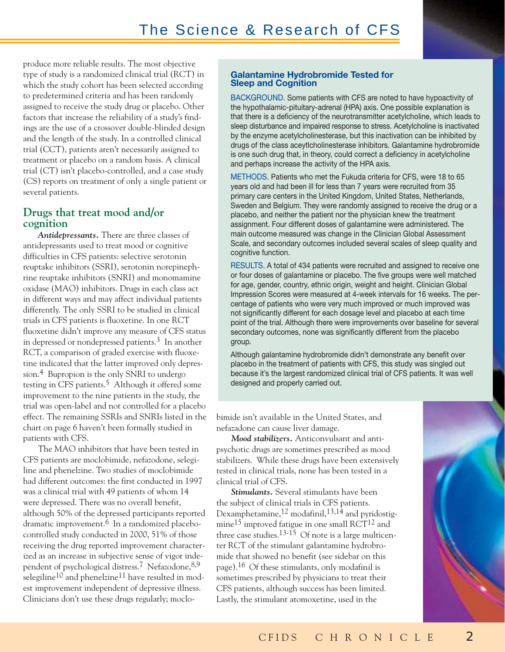produce more reliable results. The most objective type of study is a randomized clinical trial (RCT) in which the study cohort has been selected according to predetermined criteria and has been randomly assigned to receive the study drug or placebo. Other factors that increase the reliability of a study's findings are the use of a crossover double-blinded design and the length of the study. In a controlled clinical trial (CCT), patients aren't necessarily assigned to treatment or placebo on a random basis. A clinical trial (CT) isn't placebo-controlled, and a case study (CS) reports on treatment of only a single patient or several patients.

### **Drugs that treat mood and/or cognition**

*Antidepressants.* There are three classes of antidepressants used to treat mood or cognitive difficulties in CFS patients: selective serotonin reuptake inhibitors (SSRI), serotonin norepinephrine reuptake inhibitors (SNRI) and monomamine oxidase (MAO) inhibitors. Drugs in each class act in different ways and may affect individual patients differently. The only SSRI to be studied in clinical trials in CFS patients is fluoxetine. In one RCT fluoxetine didn't improve any measure of CFS status in depressed or nondepressed patients.3 In another RCT, a comparison of graded exercise with fluoxetine indicated that the latter improved only depression.4 Bupropion is the only SNRI to undergo testing in CFS patients.<sup>5</sup> Although it offered some improvement to the nine patients in the study, the trial was open-label and not controlled for a placebo effect. The remaining SSRIs and SNRIs listed in the chart on page 6 haven't been formally studied in patients with CFS.

The MAO inhibitors that have been tested in CFS patients are moclobimide, nefazodone, selegiline and phenelzine. Two studies of moclobimide had different outcomes: the first conducted in 1997 was a clinical trial with 49 patients of whom 14 were depressed. There was no overall benefit, although 50% of the depressed participants reported dramatic improvement.<sup>6</sup> In a randomized placebocontrolled study conducted in 2000, 51% of those receiving the drug reported improvement characterized as an increase in subjective sense of vigor independent of psychological distress.7 Nefazodone,8,9 selegiline<sup>10</sup> and phenelzine<sup>11</sup> have resulted in modest improvement independent of depressive illness. Clinicians don't use these drugs regularly; moclo-

### **Galantamine Hydrobromide Tested for Sleep and Cognition**

BACKGROUND. Some patients with CFS are noted to have hypoactivity of the hypothalamic-pituitary-adrenal (HPA) axis. One possible explanation is that there is a deficiency of the neurotransmitter acetylcholine, which leads to sleep disturbance and impaired response to stress. Acetylcholine is inactivated by the enzyme acetylcholinesterase, but this inactivation can be inhibited by drugs of the class aceytlcholinesterase inhibitors. Galantamine hydrobromide is one such drug that, in theory, could correct a deficiency in acetylcholine and perhaps increase the activity of the HPA axis.

METHODS. Patients who met the Fukuda criteria for CFS, were 18 to 65 years old and had been ill for less than 7 years were recruited from 35 primary care centers in the United Kingdom, United States, Netherlands, Sweden and Belgium. They were randomly assigned to receive the drug or a placebo, and neither the patient nor the physician knew the treatment assignment. Four different doses of galantamine were administered. The main outcome measured was change in the Clinician Global Assessment Scale, and secondary outcomes included several scales of sleep quality and cognitive function.

RESULTS. A total of 434 patients were recruited and assigned to receive one or four doses of galantamine or placebo. The five groups were well matched for age, gender, country, ethnic origin, weight and height. Clinician Global Impression Scores were measured at 4-week intervals for 16 weeks. The percentage of patients who were very much improved or much improved was not significantly different for each dosage level and placebo at each time point of the trial. Although there were improvements over baseline for several secondary outcomes, none was significantly different from the placebo group.

Although galantamine hydrobromide didn't demonstrate any benefit over placebo in the treatment of patients with CFS, this study was singled out because it's the largest randomized clinical trial of CFS patients. It was well designed and properly carried out.

bimide isn't available in the United States, and nefazadone can cause liver damage.

*Mood stabilizers.* Anticonvulsant and antipsychotic drugs are sometimes prescribed as mood stabilizers. While these drugs have been extensively tested in clinical trials, none has been tested in a clinical trial of CFS.

*Stimulants.* Several stimulants have been the subject of clinical trials in CFS patients. Dexamphetamine,12 modafinil,13,14 and pyridostigmine<sup>15</sup> improved fatigue in one small  $\text{RCT}^{12}$  and three case studies.<sup>13-15</sup> Of note is a large multicenter RCT of the stimulant galantamine hydrobromide that showed no benefit (see sidebar on this page).16 Of these stimulants, only modafinil is sometimes prescribed by physicians to treat their CFS patients, although success has been limited. Lastly, the stimulant atomoxetine, used in the

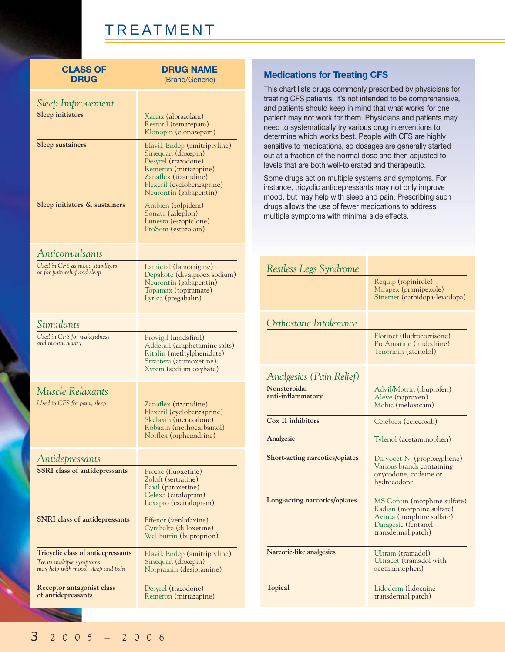| <b>CLASS OF</b><br><b>DRUG</b>                                                                        | <b>DRUG NAME</b><br>(Brand/Generic)                                                                                                                                                  |
|-------------------------------------------------------------------------------------------------------|--------------------------------------------------------------------------------------------------------------------------------------------------------------------------------------|
| Sleep Improvement                                                                                     |                                                                                                                                                                                      |
| Sleep initiators                                                                                      | Xanax (alprazolam)<br>Restoril (temazepam)<br>Klonopin (clonazepam)                                                                                                                  |
| <b>Sleep sustainers</b>                                                                               | Elavil, Endep (amitriptyline)<br>Sinequan (doxepin)<br>Desyrel (trazodone)<br>Remeron (mirtazapine)<br>Zanaflex (tizanidine)<br>Flexeril (cyclobenzaprine)<br>Neurontin (gabapentin) |
| Sleep initiators & sustainers                                                                         | Ambien (zolpidem)<br>Sonata (zaleplon)<br>Lunesta (eszopiclone)<br>ProSom (estazolam)                                                                                                |
| Anticonvulsants                                                                                       |                                                                                                                                                                                      |
| Used in CFS as mood stabilizers<br>or for pain relief and sleep                                       | Lamictal (lamotrigine)<br>Depakote (divalproex sodium)<br>Neurontin (gabapentin)<br>Topamax (topiramate)<br>Lyrica (pregabalin)                                                      |
| Stimulants                                                                                            |                                                                                                                                                                                      |
| Used in CFS for wakefulness<br>and mental acuity                                                      | Provigil (modafinil)<br>Adderall (amphetamine salts)<br>Ritalin (methylphenidate)<br>Strattera (atomoxetine)<br>Xyrem (sodium oxybate)                                               |
| Muscle Relaxants                                                                                      |                                                                                                                                                                                      |
| Used in CFS for pain, sleep                                                                           | Zanaflex (tizanidine)<br>Flexeril (cyclobenzaprine)<br>Skelaxin (metaxalone)<br>Robaxin (methocarbamol)<br>Norflex (orphenadrine)                                                    |
| Antidepressants                                                                                       |                                                                                                                                                                                      |
| <b>SSRI</b> class of antidepressants                                                                  | Prozac (fluoxetine)<br>Zoloft (sertraline)<br>Paxil (paroxetine)<br>Celexa (citalopram)<br>Lexapro (escitalopram)                                                                    |
| SNRI class of antidepressants                                                                         | Effexor (venlafaxine)<br>Cymbalta (duloxetine)<br>Wellbutrin (buproprion)                                                                                                            |
| Tricyclic class of antidepressants<br>Treats multiple symptoms;<br>may help with mood, sleep and pain | Elavil, Endep (amitriptyline)<br>Sinequan (doxepin)<br>Norpramin (desipramine)                                                                                                       |
| Receptor antagonist class<br>of antidepressants                                                       | Desyrel (trazodone)<br>Remeron (mirtazapine)                                                                                                                                         |

### **Medications for Treating CFS**

This chart lists drugs commonly prescribed by physicians for treating CFS patients. It's not intended to be comprehensive, and patients should keep in mind that what works for one patient may not work for them. Physicians and patients may need to systematically try various drug interventions to determine which works best. People with CFS are highly sensitive to medications, so dosages are generally started out at a fraction of the normal dose and then adjusted to levels that are both well-tolerated and therapeutic.

Some drugs act on multiple systems and symptoms. For instance, tricyclic antidepressants may not only improve mood, but may help with sleep and pain. Prescribing such drugs allows the use of fewer medications to address multiple symptoms with minimal side effects.

| Restless Legs Syndrome            |                                                                                                                                     |
|-----------------------------------|-------------------------------------------------------------------------------------------------------------------------------------|
|                                   | Requip (ropinirole)<br>Mirapex (pramipexole)<br>Sinemet (carbidopa-levodopa)                                                        |
| Orthostatic Intolerance           |                                                                                                                                     |
|                                   | Florinef (fludrocortisone)<br>ProAmatine (midodrine)<br>Tenormin (atenolol)                                                         |
| Analgesics (Pain Relief)          |                                                                                                                                     |
| Nonsteroidal<br>anti-inflammatory | Advil/Motrin (ibuprofen)<br>Aleve (naproxen)<br>Mobic (meloxicam)                                                                   |
| Cox II inhibitors                 | Celebrex (celecoxib)                                                                                                                |
| Analgesic                         | Tylenol (acetaminophen)                                                                                                             |
| Short-acting narcotics/opiates    | Darvocet-N (propoxyphene)<br>Various brands containing<br>oxycodone, codeine or<br>hydrocodone                                      |
| Long-acting narcotics/opiates     | MS Contin (morphine sulfate)<br>Kadian (morphine sulfate)<br>Avinza (morphine sulfate)<br>Duragesic (fentanyl<br>transdermal patch) |
| Narcotic-like analgesics          | Ultram (tramadol)<br>Ultracet (tramadol with<br>acetaminophen)                                                                      |
| Topical                           | Lidoderm (lidocaine<br>transdermal patch)                                                                                           |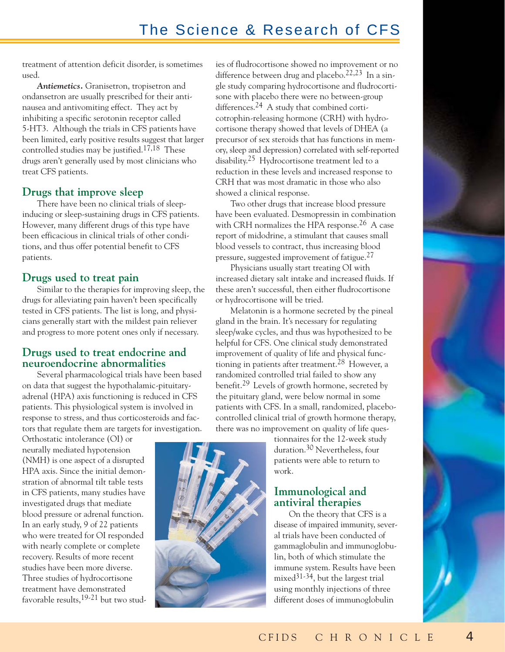## The Science & Research of CFS

treatment of attention deficit disorder, is sometimes used.

*Antiemetics.* Granisetron, tropisetron and ondansetron are usually prescribed for their antinausea and antivomiting effect. They act by inhibiting a specific serotonin receptor called 5-HT3. Although the trials in CFS patients have been limited, early positive results suggest that larger controlled studies may be justified.<sup>17,18</sup> These drugs aren't generally used by most clinicians who treat CFS patients.

### **Drugs that improve sleep**

There have been no clinical trials of sleepinducing or sleep-sustaining drugs in CFS patients. However, many different drugs of this type have been efficacious in clinical trials of other conditions, and thus offer potential benefit to CFS patients.

### **Drugs used to treat pain**

Similar to the therapies for improving sleep, the drugs for alleviating pain haven't been specifically tested in CFS patients. The list is long, and physicians generally start with the mildest pain reliever and progress to more potent ones only if necessary.

### **Drugs used to treat endocrine and neuroendocrine abnormalities**

Several pharmacological trials have been based on data that suggest the hypothalamic-pituitaryadrenal (HPA) axis functioning is reduced in CFS patients. This physiological system is involved in response to stress, and thus corticosteroids and factors that regulate them are targets for investigation.

Orthostatic intolerance (OI) or neurally mediated hypotension (NMH) is one aspect of a disrupted HPA axis. Since the initial demonstration of abnormal tilt table tests in CFS patients, many studies have investigated drugs that mediate blood pressure or adrenal function. In an early study, 9 of 22 patients who were treated for OI responded with nearly complete or complete recovery. Results of more recent studies have been more diverse. Three studies of hydrocortisone treatment have demonstrated favorable results,  $19-21$  but two stud-



Two other drugs that increase blood pressure have been evaluated. Desmopressin in combination with CRH normalizes the HPA response.<sup>26</sup> A case report of midodrine, a stimulant that causes small blood vessels to contract, thus increasing blood pressure, suggested improvement of fatigue.27

Physicians usually start treating OI with increased dietary salt intake and increased fluids. If these aren't successful, then either fludrocortisone or hydrocortisone will be tried.

Melatonin is a hormone secreted by the pineal gland in the brain. It's necessary for regulating sleep/wake cycles, and thus was hypothesized to be helpful for CFS. One clinical study demonstrated improvement of quality of life and physical functioning in patients after treatment.<sup>28</sup> However, a randomized controlled trial failed to show any benefit.29 Levels of growth hormone, secreted by the pituitary gland, were below normal in some patients with CFS. In a small, randomized, placebocontrolled clinical trial of growth hormone therapy, there was no improvement on quality of life ques-

tionnaires for the 12-week study duration.30 Nevertheless, four patients were able to return to work.

### **Immunological and antiviral therapies**

On the theory that CFS is a disease of impaired immunity, several trials have been conducted of gammaglobulin and immunoglobulin, both of which stimulate the immune system. Results have been mixed $31-34$ , but the largest trial using monthly injections of three different doses of immunoglobulin

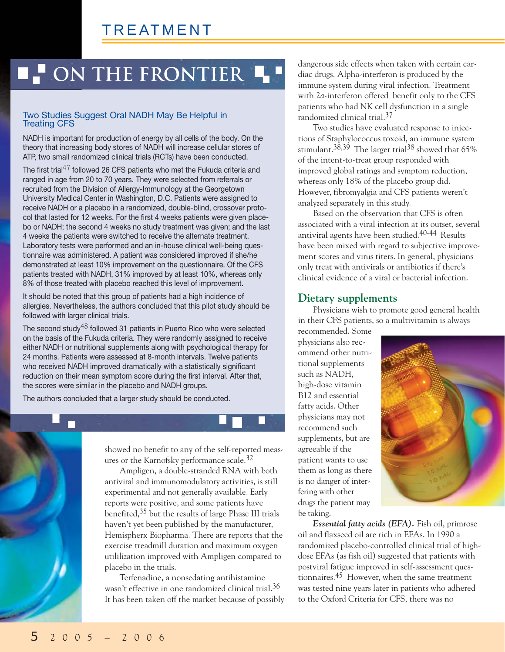## **ON THE FRONTIER 4**

### Two Studies Suggest Oral NADH May Be Helpful in Treating CFS

NADH is important for production of energy by all cells of the body. On the theory that increasing body stores of NADH will increase cellular stores of ATP, two small randomized clinical trials (RCTs) have been conducted.

The first trial<sup>47</sup> followed 26 CFS patients who met the Fukuda criteria and ranged in age from 20 to 70 years. They were selected from referrals or recruited from the Division of Allergy-Immunology at the Georgetown University Medical Center in Washington, D.C. Patients were assigned to receive NADH or a placebo in a randomized, double-blind, crossover protocol that lasted for 12 weeks. For the first 4 weeks patients were given placebo or NADH; the second 4 weeks no study treatment was given; and the last 4 weeks the patients were switched to receive the alternate treatment. Laboratory tests were performed and an in-house clinical well-being questionnaire was administered. A patient was considered improved if she/he demonstrated at least 10% improvement on the questionnaire. Of the CFS patients treated with NADH, 31% improved by at least 10%, whereas only 8% of those treated with placebo reached this level of improvement.

It should be noted that this group of patients had a high incidence of allergies. Nevertheless, the authors concluded that this pilot study should be followed with larger clinical trials.

The second study<sup>48</sup> followed 31 patients in Puerto Rico who were selected on the basis of the Fukuda criteria. They were randomly assigned to receive either NADH or nutritional supplements along with psychological therapy for 24 months. Patients were assessed at 8-month intervals. Twelve patients who received NADH improved dramatically with a statistically significant reduction on their mean symptom score during the first interval. After that, the scores were similar in the placebo and NADH groups.

The authors concluded that a larger study should be conducted.



showed no benefit to any of the self-reported measures or the Karnofsky performance scale.32

Ampligen, a double-stranded RNA with both antiviral and immunomodulatory activities, is still experimental and not generally available. Early reports were positive, and some patients have benefited,35 but the results of large Phase III trials haven't yet been published by the manufacturer, Hemispherx Biopharma. There are reports that the exercise treadmill duration and maximum oxygen utililization improved with Ampligen compared to placebo in the trials.

Terfenadine, a nonsedating antihistamine wasn't effective in one randomized clinical trial.<sup>36</sup> It has been taken off the market because of possibly dangerous side effects when taken with certain cardiac drugs. Alpha-interferon is produced by the immune system during viral infection. Treatment with 2*a*-interferon offered benefit only to the CFS patients who had NK cell dysfunction in a single randomized clinical trial.37

Two studies have evaluated response to injections of Staphylococcus toxoid, an immune system stimulant.<sup>38,39</sup> The larger trial<sup>38</sup> showed that  $65\%$ of the intent-to-treat group responded with improved global ratings and symptom reduction, whereas only 18% of the placebo group did. However, fibromyalgia and CFS patients weren't analyzed separately in this study.

Based on the observation that CFS is often associated with a viral infection at its outset, several antiviral agents have been studied.40-44 Results have been mixed with regard to subjective improvement scores and virus titers. In general, physicians only treat with antivirals or antibiotics if there's clinical evidence of a viral or bacterial infection.

### **Dietary supplements**

Physicians wish to promote good general health in their CFS patients, so a multivitamin is always

recommended. Some physicians also recommend other nutritional supplements such as NADH, high-dose vitamin B12 and essential fatty acids. Other physicians may not recommend such supplements, but are agreeable if the patient wants to use them as long as there is no danger of interfering with other drugs the patient may be taking.



*Essential fatty acids (EFA).* Fish oil, primrose oil and flaxseed oil are rich in EFAs. In 1990 a randomized placebo-controlled clinical trial of highdose EFAs (as fish oil) suggested that patients with postviral fatigue improved in self-assessment questionnaires.45 However, when the same treatment was tested nine years later in patients who adhered to the Oxford Criteria for CFS, there was no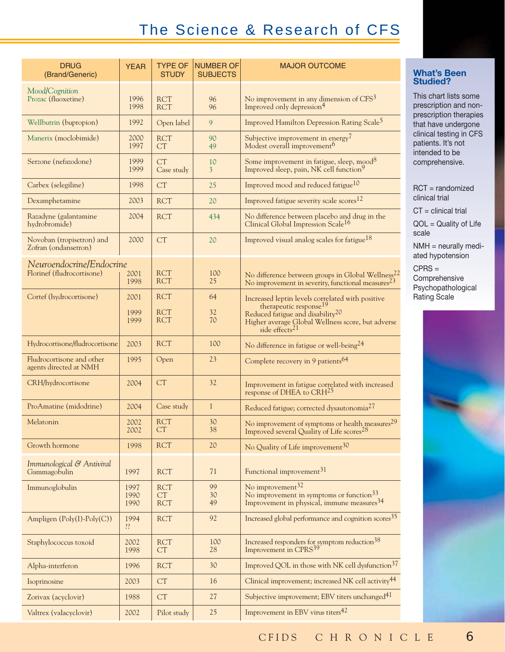## The Science & Research of CFS

| <b>DRUG</b><br>(Brand/Generic)                         | <b>YEAR</b>          | <b>TYPE OF</b><br><b>STUDY</b> | <b>NUMBER OF</b><br><b>SUBJECTS</b> | <b>MAJOR OUTCOME</b>                                                                                                                                                  |  |
|--------------------------------------------------------|----------------------|--------------------------------|-------------------------------------|-----------------------------------------------------------------------------------------------------------------------------------------------------------------------|--|
| Mood/Cognition<br>Prozac (fluoxetine)                  | 1996<br>1998         | <b>RCT</b><br><b>RCT</b>       | 96<br>96                            | No improvement in any dimension of CFS <sup>3</sup><br>Improved only depression <sup>4</sup>                                                                          |  |
| Wellbutrin (bupropion)                                 | 1992                 | Open label                     | 9                                   | Improved Hamilton Depression Rating Scale <sup>5</sup>                                                                                                                |  |
| Manerix (moclobimide)                                  | 2000<br>1997         | <b>RCT</b><br>CT               | 90<br>49                            | Subjective improvement in energy <sup>7</sup><br>Modest overall improvement <sup>6</sup>                                                                              |  |
| Serzone (nefazodone)                                   | 1999<br>1999         | <b>CT</b><br>Case study        | 10<br>$\overline{3}$                | Some improvement in fatigue, sleep, mood <sup>8</sup><br>Improved sleep, pain, NK cell function <sup>9</sup>                                                          |  |
| Carbex (selegiline)                                    | 1998                 | CT                             | 25                                  | Improved mood and reduced fatigue <sup>10</sup>                                                                                                                       |  |
| Dexamphetamine                                         | 2003                 | <b>RCT</b>                     | 20                                  | Improved fatigue severity scale scores <sup>12</sup>                                                                                                                  |  |
| Razadyne (galantamine<br>hydrobromide)                 | 2004                 | <b>RCT</b>                     | 434                                 | No difference between placebo and drug in the<br>Clinical Global Impression Scale <sup>16</sup>                                                                       |  |
| Novoban (tropisetron) and<br>Zofran (ondansetron)      | 2000                 | CT                             | 20                                  | Improved visual analog scales for fatigue <sup>18</sup>                                                                                                               |  |
| Neuroendocrine/Endocrine<br>Florinef (fludrocortisone) | 2001<br>1998         | <b>RCT</b><br><b>RCT</b>       | 100<br>25                           | No difference between groups in Global Wellness <sup>22</sup><br>No improvement in severity, functional measures <sup>23</sup>                                        |  |
| Cortef (hydrocortisone)                                | 2001                 | <b>RCT</b>                     | 64                                  | Increased leptin levels correlated with positive                                                                                                                      |  |
|                                                        | 1999<br>1999         | <b>RCT</b><br><b>RCT</b>       | 32<br>70                            | therapeutic response <sup>19</sup><br>Reduced fatigue and disability <sup>20</sup><br>Higher average Global Wellness score, but adverse<br>side effects <sup>21</sup> |  |
| Hydrocortisone/fludrocortisone                         | 2003                 | <b>RCT</b>                     | 100                                 | No difference in fatigue or well-being <sup>24</sup>                                                                                                                  |  |
| Fludrocortisone and other<br>agents directed at NMH    | 1995                 | Open                           | 23                                  | Complete recovery in 9 patients <sup>64</sup>                                                                                                                         |  |
| CRH/hydrocortisone                                     | 2004                 | CT                             | 32                                  | Improvement in fatigue correlated with increased response of DHEA to $\mathrm{C}\mathrm{R}\mathrm{H}^{25}$                                                            |  |
| ProAmatine (midodrine)                                 | 2004                 | Case study                     | $\mathbf{1}$                        | Reduced fatigue; corrected dysautonomia <sup>27</sup>                                                                                                                 |  |
| Melatonin                                              | 2002<br>2002         | <b>RCT</b><br>СT               | 30<br>38                            | No improvement of symptoms or health measures <sup>29</sup><br>Improved several Quality of Life scores <sup>28</sup>                                                  |  |
| Growth hormone                                         | 1998                 | <b>RCT</b>                     | 20                                  | No Quality of Life improvement <sup>30</sup>                                                                                                                          |  |
| Immunological & Antiviral<br>Gammagobulin              | 1997                 | <b>RCT</b>                     | 71                                  | Functional improvement <sup>31</sup>                                                                                                                                  |  |
| Immunoglobulin                                         | 1997<br>1990<br>1990 | <b>RCT</b><br>CT<br><b>RCT</b> | 99<br>30<br>49                      | No improvement <sup>32</sup><br>No improvement in symptoms or function <sup>33</sup><br>Improvement in physical, immune measures <sup>34</sup>                        |  |
| Ampligen $(Poly(I)-Poly(C))$                           | 1994<br>??           | <b>RCT</b>                     | 92                                  | Increased global performance and cognition scores <sup>35</sup>                                                                                                       |  |
| Staphylococcus toxoid                                  | 2002<br>1998         | <b>RCT</b><br>CT               | 100<br>28                           | Increased responders for symptom reduction <sup>38</sup><br>Improvement in CPRS <sup>39</sup>                                                                         |  |
| Alpha-interferon                                       | 1996                 | <b>RCT</b>                     | 30                                  | Improved QOL in those with NK cell dysfunction <sup>37</sup>                                                                                                          |  |
| Isoprinosine                                           | 2003                 | CT                             | 16                                  | Clinical improvement; increased NK cell activity <sup>44</sup>                                                                                                        |  |
| Zorivax (acyclovir)                                    | 1988                 | CT                             | 27                                  | Subjective improvement; EBV titers unchanged <sup>41</sup>                                                                                                            |  |
| Valtrex (valacyclovir)                                 | 2002                 | Pilot study                    | 25                                  | Improvement in EBV virus titers <sup>42</sup>                                                                                                                         |  |

### **What's Been Studied?**

This chart lists some prescription and nonprescription therapies that have undergone clinical testing in CFS patients. It's not intended to be comprehensive.

|       | $RCT = randomized$<br>clinical trial                                   |  |
|-------|------------------------------------------------------------------------|--|
|       | $CT =$ clinical trial                                                  |  |
| scale | $QOL = Quality of Life$                                                |  |
|       | NMH = neurally medi-<br>ated hypotension                               |  |
|       | $CPRS =$<br>Comprehensive<br>Psychopathological<br><b>Rating Scale</b> |  |
|       |                                                                        |  |
|       |                                                                        |  |
|       |                                                                        |  |
|       |                                                                        |  |
|       |                                                                        |  |
|       |                                                                        |  |

CFIDS CHRONICLE 6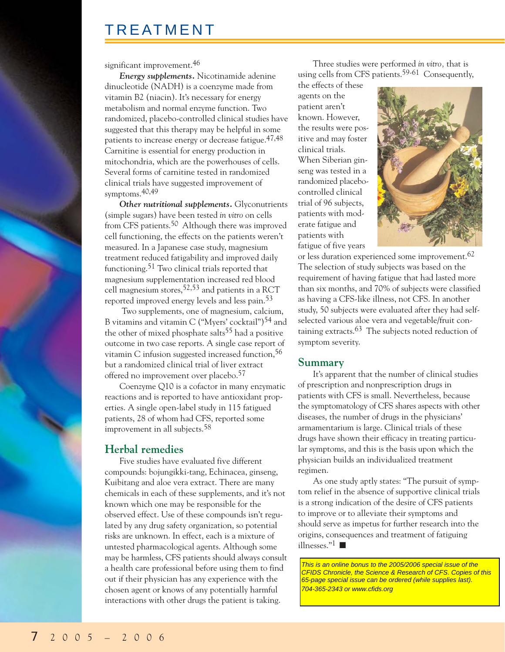significant improvement.<sup>46</sup>

*Energy supplements.* Nicotinamide adenine dinucleotide (NADH) is a coenzyme made from vitamin B2 (niacin). It's necessary for energy metabolism and normal enzyme function. Two randomized, placebo-controlled clinical studies have suggested that this therapy may be helpful in some patients to increase energy or decrease fatigue.47,48 Carnitine is essential for energy production in mitochondria, which are the powerhouses of cells. Several forms of carnitine tested in randomized clinical trials have suggested improvement of symptoms.40,49

*Other nutritional supplements.* Glyconutrients (simple sugars) have been tested *in vitro* on cells from CFS patients.50 Although there was improved cell functioning, the effects on the patients weren't measured. In a Japanese case study, magnesium treatment reduced fatigability and improved daily functioning.51 Two clinical trials reported that magnesium supplementation increased red blood cell magnesium stores,52,53 and patients in a RCT reported improved energy levels and less pain.53

Two supplements, one of magnesium, calcium, B vitamins and vitamin C ("Myers' cocktail")54 and the other of mixed phosphate salts<sup>55</sup> had a positive outcome in two case reports. A single case report of vitamin C infusion suggested increased function,  $56$ but a randomized clinical trial of liver extract offered no improvement over placebo.57

Coenzyme Q10 is a cofactor in many enzymatic reactions and is reported to have antioxidant properties. A single open-label study in 115 fatigued patients, 28 of whom had CFS, reported some improvement in all subjects.<sup>58</sup>

### **Herbal remedies**

Five studies have evaluated five different compounds: bojungikki-tang, Echinacea, ginseng, Kuibitang and aloe vera extract. There are many chemicals in each of these supplements, and it's not known which one may be responsible for the observed effect. Use of these compounds isn't regulated by any drug safety organization, so potential risks are unknown. In effect, each is a mixture of untested pharmacological agents. Although some may be harmless, CFS patients should always consult a health care professional before using them to find out if their physician has any experience with the chosen agent or knows of any potentially harmful interactions with other drugs the patient is taking.

Three studies were performed *in vitro,* that is using cells from CFS patients.<sup>59-61</sup> Consequently,

the effects of these agents on the patient aren't known. However, the results were positive and may foster clinical trials. When Siberian ginseng was tested in a randomized placebocontrolled clinical trial of 96 subjects, patients with moderate fatigue and patients with fatigue of five years



or less duration experienced some improvement.62 The selection of study subjects was based on the requirement of having fatigue that had lasted more than six months, and 70% of subjects were classified as having a CFS-like illness, not CFS. In another study, 50 subjects were evaluated after they had selfselected various aloe vera and vegetable/fruit containing extracts.<sup>63</sup> The subjects noted reduction of symptom severity.

#### **Summary**

It's apparent that the number of clinical studies of prescription and nonprescription drugs in patients with CFS is small. Nevertheless, because the symptomatology of CFS shares aspects with other diseases, the number of drugs in the physicians' armamentarium is large. Clinical trials of these drugs have shown their efficacy in treating particular symptoms, and this is the basis upon which the physician builds an individualized treatment regimen.

As one study aptly states: "The pursuit of symptom relief in the absence of supportive clinical trials is a strong indication of the desire of CFS patients to improve or to alleviate their symptoms and should serve as impetus for further research into the origins, consequences and treatment of fatiguing illnesses."1 ■

This is an online bonus to the 2005/2006 special issue of the CFIDS Chronicle, the Science & Research of CFS. Copies of this 65-page special issue can be ordered (while supplies last). 704-365-2343 or www.cfids.org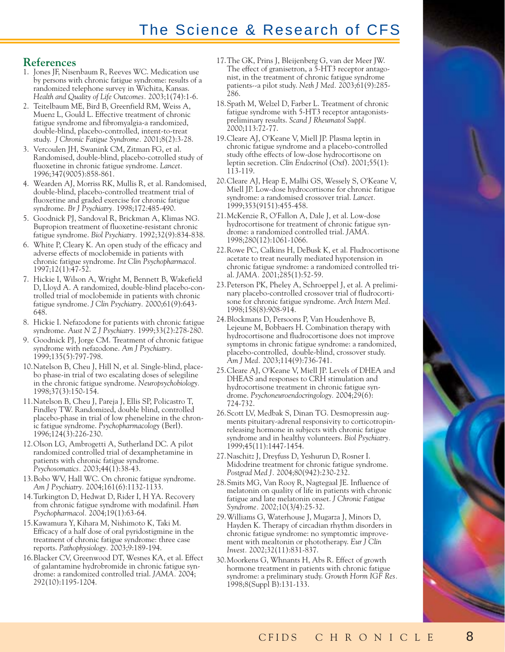### **References**

- 1. Jones JF, Nisenbaum R, Reeves WC. Medication use by persons with chronic fatigue syndrome: results of a randomized telephone survey in Wichita, Kansas. *Health and Quality of Life Outcomes.* 2003;1(74):1-6.
- 2. Teitelbaum ME, Bird B, Greenfield RM, Weiss A, Muenz L, Gould L. Effective treatment of chronic fatigue syndrome and fibromyalgia-a randomized, double-blind, placebo-controlled, intent-to-treat study. *J Chronic Fatigue Syndrome.* 2001;8(2):3-28.
- 3. Vercoulen JH, Swanink CM, Zitman FG, et al. Randomised, double-blind, placebo-cotrolled study of fluoxetine in chronic fatigue syndrome. *Lancet.* 1996;347(9005):858-861.
- 4. Wearden AJ, Morriss RK, Mullis R, et al. Randomised, double-blind, placebo-controlled treatment trial of fluoxetine and graded exercise for chronic fatigue syndrome. *Br J Psychiatry.* 1998;172:485-490.
- 5. Goodnick PJ, Sandoval R, Brickman A, Klimas NG. Bupropion treatment of fluoxetine-resistant chronic fatigue syndrome. *Biol Psychiatry.* 1992;32(9):834-838.
- 6. White P, Cleary K. An open study of the efficacy and adverse effects of moclobemide in patients with chronic fatigue syndrome. *Int Clin Psychopharmacol.* 1997;12(1):47-52.
- 7. Hickie I, Wilson A, Wright M, Bennett B, Wakefield D, Lloyd A. A randomized, double-blind placebo-controlled trial of moclobemide in patients with chronic fatigue syndrome. *J Clin Psychiatry.* 2000;61(9):643- 648.
- 8. Hickie I. Nefazodone for patients with chronic fatigue syndrome. *Aust N Z J Psychiatry.* 1999;33(2):278-280.
- 9. Goodnick PJ, Jorge CM. Treatment of chronic fatigue syndrome with nefazodone. *Am J Psychiatry.* 1999;135(5):797-798.
- 10.Natelson B, Cheu J, Hill N, et al. Single-blind, placebo phase-in trial of two escalating doses of selegiline in the chronic fatigue syndrome. *Neuropsychobiology.* 1998;37(3):150-154.
- 11.Natelson B, Cheu J, Pareja J, Ellis SP, Policastro T, Findley TW. Randomized, double blind, controlled placebo-phase in trial of low phenelzine in the chronic fatigue syndrome. *Psychopharmacology* (Berl). 1996;124(3):226-230.
- 12.Olson LG, Ambrogetti A, Sutherland DC. A pilot randomized controlled trial of dexamphetamine in patients with chronic fatigue syndrome. *Psychosomatics.* 2003;44(1):38-43.
- 13.Bobo WV, Hall WC. On chronic fatigue syndrome. *Am J Psychiatry.* 2004;161(6):1132-1133.
- 14.Turkington D, Hedwat D, Rider I, H YA. Recovery from chronic fatigue syndrome with modafinil. *Hum Psychopharmacol.* 2004;19(1):63-64.
- 15.Kawamura Y, Kihara M, Nishimoto K, Taki M. Efficacy of a half dose of oral pyridostigmine in the treatment of chronic fatigue syndrome: three case reports. *Pathophysiology.* 2003;9:189-194.
- 16.Blacker CV, Greenwood DT, Wesnes KA, et al. Effect of galantamine hydrobromide in chronic fatigue syndrome: a randomized controlled trial. *JAMA.* 2004; 292(10):1195-1204.
- 17.The GK, Prins J, Bleijenberg G, van der Meer JW. The effect of granisetron, a 5-HT3 receptor antagonist, in the treatment of chronic fatigue syndrome patients--a pilot study. *Neth J Med.* 2003;61(9):285- 286.
- 18.Spath M, Welzel D, Farber L. Treatment of chronic fatigue syndrome with 5-HT3 receptor antagonistspreliminary results. *Scand J Rheumatol Suppl.* 2000;113:72-77.
- 19.Cleare AJ, O'Keane V, Miell JP. Plasma leptin in chronic fatigue syndrome and a placebo-controlled study ofthe effects of low-dose hydrocortisone on leptin secretion. *Clin Endocrinol* (Oxf). 2001;55(1): 113-119.
- 20.Cleare AJ, Heap E, Malhi GS, Wessely S, O'Keane V, Miell JP. Low-dose hydrocortisone for chronic fatigue syndrome: a randomised crossover trial. *Lancet.* 1999;353(9151):455-458.
- 21.McKenzie R, O'Fallon A, Dale J, et al. Low-dose hydrocortisone for treatment of chronic fatigue syndrome: a randomized controlled trial. *JAMA.* 1998;280(12):1061-1066.
- 22.Rowe PC, Calkins H, DeBusk K, et al. Fludrocortisone acetate to treat neurally mediated hypotension in chronic fatigue syndrome: a randomized controlled trial. *JAMA.* 2001;285(1):52-59.
- 23.Peterson PK, Pheley A, Schroeppel J, et al. A preliminary placebo-controlled crossover trial of fludrocortisone for chronic fatigue syndrome. *Arch Intern Med.* 1998;158(8):908-914.
- 24.Blockmans D, Persoons P, Van Houdenhove B, Lejeune M, Bobbaers H. Combination therapy with hydrocortisone and fludrocortisone does not improve symptoms in chronic fatigue syndrome: a randomized, placebo-controlled, double-blind, crossover study. *Am J Med.* 2003;114(9):736-741.
- 25.Cleare AJ, O'Keane V, Miell JP. Levels of DHEA and DHEAS and responses to CRH stimulation and hydrocortisone treatment in chronic fatigue syndrome. *Psychoneuroendocringology.* 2004;29(6): 724-732.
- 26.Scott LV, Medbak S, Dinan TG. Desmopressin augments pituitary-adrenal responsivity to corticotropinreleasing hormone in subjects with chronic fatigue syndrome and in healthy volunteers. *Biol Psychiatry.* 1999;45(11):1447-1454.
- 27.Naschitz J, Dreyfuss D, Yeshurun D, Rosner I. Midodrine treatment for chronic fatigue syndrome. *Postgrad Med J.* 2004;80(942):230-232.
- 28.Smits MG, Van Rooy R, Nagtegaal JE. Influence of melatonin on quality of life in patients with chronic fatigue and late melatonin onset. *J Chronic Fatigue Syndrome.* 2002;10(3/4):25-32.
- 29.Williams G, Waterhouse J, Mugarza J, Minors D, Hayden K. Therapy of circadian rhythm disorders in chronic fatigue syndrome: no symptomtic improvement with mealtonin or phototherapy. *Eur J Clin Invest.* 2002;32(11):831-837.
- 30.Moorkens G, Whnants H, Abs R. Effect of growth hormone treatment in patients with chronic fatigue syndrome: a preliminary study. *Growth Horm IGF Res.* 1998;8(Suppl B):131-133.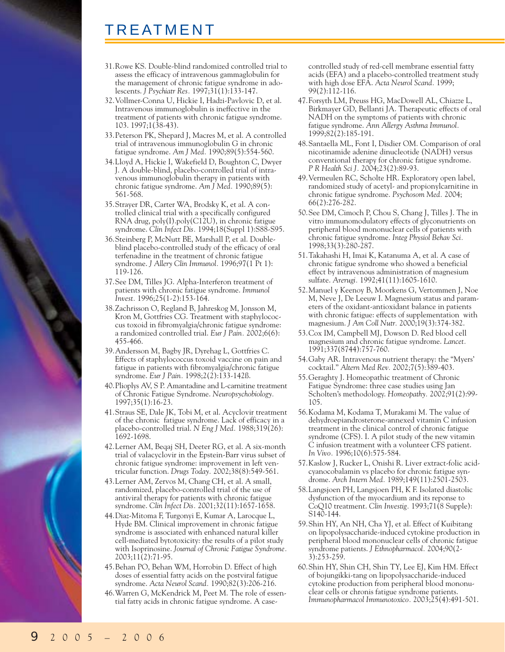- 31.Rowe KS. Double-blind randomized controlled trial to assess the efficacy of intravenous gammaglobulin for the management of chronic fatigue syndrome in adolescents. *J Psychiatr Res.* 1997;31(1):133-147.
- 32.Vollmer-Conna U, Hickie I, Hadzi-Pavlovic D, et al. Intravenous immunoglobulin is ineffective in the treatment of patients with chronic fatigue syndrome. 103. 1997;1(38-43).
- 33.Peterson PK, Shepard J, Macres M, et al. A controlled trial of intravenous immunoglobulin G in chronic fatigue syndrome. *Am J Med.* 1990;89(5):554-560.
- 34.Lloyd A, Hickie I, Wakefield D, Boughton C, Dwyer J. A double-blind, placebo-controlled trial of intravenous immunoglobulin therapy in patients with chronic fatigue syndrome. *Am J Med.* 1990;89(5): 561-568.
- 35.Strayer DR, Carter WA, Brodsky K, et al. A controlled clinical trial with a specifically configured RNA drug, poly(I).poly(C12U), in chronic fatigue syndrome. *Clin Infect Dis.* 1994;18(Suppl 1):S88-S95.
- 36.Steinberg P, McNutt BE, Marshall P, et al. Doubleblind placebo-controlled study of the efficacy of oral terfenadine in the treatment of chronic fatigue syndrome. *J Allery Clin Immunol.* 1996;97(1 Pt 1): 119-126.
- 37.See DM, Tilles JG. Alpha-Interferon treatment of patients with chronic fatigue syndrome. *Immunol Invest.* 1996;25(1-2):153-164.
- 38.Zachrisson O, Regland B, Jahreskog M, Jonsson M, Kron M, Gottfries CG. Treatment with staphylococcus toxoid in fibromyalgia/chronic fatigue syndrome: a randomized controlled trial. *Eur J Pain.* 2002;6(6): 455-466.
- 39.Andersson M, Bagby JR, Dyrehag L, Gottfries C. Effects of staphylococcus toxoid vaccine on pain and fatigue in patients with fibromyalgia/chronic fatigue syndrome. *Eur J Pain.* 1998;2(2):133-142ß.
- 40.Plioplys AV, S P. Amantadine and L-carnitine treatment of Chronic Fatigue Syndrome. *Neuropsychobiology.* 1997;35(1):16-23.
- 41.Straus SE, Dale JK, Tobi M, et al. Acyclovir treatment of the chronic fatigue syndrome. Lack of efficacy in a placebo-controlled trial. *N Eng J Med.* 1988;319(26): 1692-1698.
- 42.Lerner AM, Beqaj SH, Deeter RG, et al. A six-month trial of valacyclovir in the Epstein-Barr virus subset of chronic fatigue syndrome: improvement in left ventricular function. *Drugs Today.* 2002;38(8):549-561.
- 43.Lerner AM, Zervos M, Chang CH, et al. A small, randomized, placebo-controlled trial of the use of antiviral therapy for patients with chronic fatigue syndrome. *Clin Infect Dis.* 2001;32(11):1657-1658.
- 44.Diaz-Mitoma F, Turgonyi E, Kumar A, Larocque L, Hyde BM. Clinical improvement in chronic fatigue syndrome is associated with enhanced natural killer cell-mediated bytotoxicity: the results of a pilot study with Isoprinosine. *Journal of Chronic Fatigue Syndrome.* 2003;11(2):71-95.
- 45.Behan PO, Behan WM, Horrobin D. Effect of high doses of essential fatty acids on the postviral fatigue syndrome. *Acta Neurol Scand.* 1990;82(3):206-216.
- 46.Warren G, McKendrick M, Peet M. The role of essential fatty acids in chronic fatigue syndrome. A case-

controlled study of red-cell membrane essential fatty acids (EFA) and a placebo-controlled treatment study with high dose EFA. *Acta Neurol Scand.* 1999; 99(2):112-116.

- 47.Forsyth LM, Preuss HG, MacDowell AL, Chiazze L, Birkmayer GD, Bellanti JA. Therapeutic effects of oral NADH on the symptoms of patients with chronic fatigue syndrome. *Ann Allergy Asthma Immunol.* 1999;82(2):185-191.
- 48.Santaella ML, Font I, Disdier OM. Comparison of oral nicotinamide adenine dinucleotide (NADH) versus conventional therapy for chronic fatigue syndrome. *P R Health Sci J.* 2004;23(2):89-93.
- 49.Vermeulen RC, Scholte HR. Exploratory open label, randomized study of acetyl- and propionylcarnitine in chronic fatigue syndrome. *Psychosom Med.* 2004; 66(2):276-282.
- 50.See DM, Cimoch P, Chou S, Chang J, Tilles J. The in vitro immunomodulatory effects of glyconutrients on peripheral blood mononuclear cells of patients with chronic fatigue syndrome. *Integ Physiol Behav Sci.* 1998;33(3):280-287.
- 51.Takahashi H, Imai K, Katanuma A, et al. A case of chronic fatigue syndrome who showed a beneficial effect by intravenous administration of magnesium sulfate. *Arerugi.* 1992;41(11):1605-1610.
- 52.Manuel y Keenoy B, Moorkens G, Vertommen J, Noe M, Neve J, De Leeuw I. Magnesium status and parameters of the oxidant-antioxidant balance in patients with chronic fatigue: effects of supplementation with magnesium. *J Am Coll Nutr.* 2000;19(3):374-382.
- 53.Cox IM, Campbell MJ, Dowson D. Red blood cell magnesium and chronic fatigue syndrome. *Lancet.* 1991;337(8744):757-760.
- 54.Gaby AR. Intravenous nutrient therapy: the "Myers' cocktail." *Altern Med Rev.* 2002;7(5):389-403.
- 55.Geraghty J. Homeopathic treatment of Chronic Fatigue Syndrome: three case studies using Jan Scholten's methodology. *Homeopathy.* 2002;91(2):99- 105.
- 56.Kodama M, Kodama T, Murakami M. The value of dehydroepiandrosterone-annexed vitamin C infusion treatment in the clinical control of chronic fatigue syndrome (CFS). I. A pilot study of the new vitamin C infusion treatment with a volunteer CFS patient. *In Vivo.* 1996;10(6):575-584.
- 57.Kaslow J, Rucker L, Onishi R. Liver extract-folic acidcyanocobalamin vs placebo for chronic fatigue syndrome. *Arch Intern Med.* 1989;149(11):2501-2503.
- 58.Langsjoen PH, Langsjoen PH, K F. Isolated diastolic dysfunction of the myocardium and its reponse to CoQ10 treatment. *Clin Investig.* 1993;71(8 Supple): S140-144.
- 59.Shin HY, An NH, Cha YJ, et al. Effect of Kuibitang on lipopolysaccharide-induced cytokine production in peripheral blood mononuclear cells of chronic fatigue syndrome patients. *J Ethnopharmacol.* 2004;90(2- 3):253-259.
- 60.Shin HY, Shin CH, Shin TY, Lee EJ, Kim HM. Effect of bojungikki-tang on lipopolysaccharide-induced cytokine production from peripheral blood mononuclear cells or chronis fatigue syndrome patients. *Immunopharmacol Immunotoxico.* 2003;25(4):491-501.